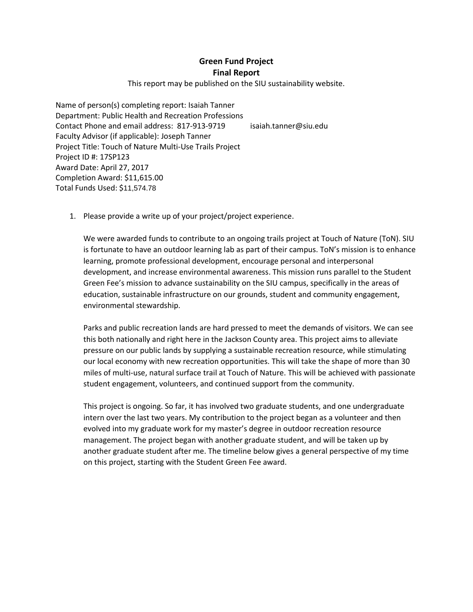**Green Fund Project Final Report**

This report may be published on the SIU sustainability website.

Name of person(s) completing report: Isaiah Tanner Department: Public Health and Recreation Professions Contact Phone and email address: 817-913-9719 isaiah.tanner@siu.edu Faculty Advisor (if applicable): Joseph Tanner Project Title: Touch of Nature Multi-Use Trails Project Project ID #: 17SP123 Award Date: April 27, 2017 Completion Award: \$11,615.00 Total Funds Used: \$11,574.78

1. Please provide a write up of your project/project experience.

We were awarded funds to contribute to an ongoing trails project at Touch of Nature (ToN). SIU is fortunate to have an outdoor learning lab as part of their campus. ToN's mission is to enhance learning, promote professional development, encourage personal and interpersonal development, and increase environmental awareness. This mission runs parallel to the Student Green Fee's mission to advance sustainability on the SIU campus, specifically in the areas of education, sustainable infrastructure on our grounds, student and community engagement, environmental stewardship.

Parks and public recreation lands are hard pressed to meet the demands of visitors. We can see this both nationally and right here in the Jackson County area. This project aims to alleviate pressure on our public lands by supplying a sustainable recreation resource, while stimulating our local economy with new recreation opportunities. This will take the shape of more than 30 miles of multi-use, natural surface trail at Touch of Nature. This will be achieved with passionate student engagement, volunteers, and continued support from the community.

This project is ongoing. So far, it has involved two graduate students, and one undergraduate intern over the last two years. My contribution to the project began as a volunteer and then evolved into my graduate work for my master's degree in outdoor recreation resource management. The project began with another graduate student, and will be taken up by another graduate student after me. The timeline below gives a general perspective of my time on this project, starting with the Student Green Fee award.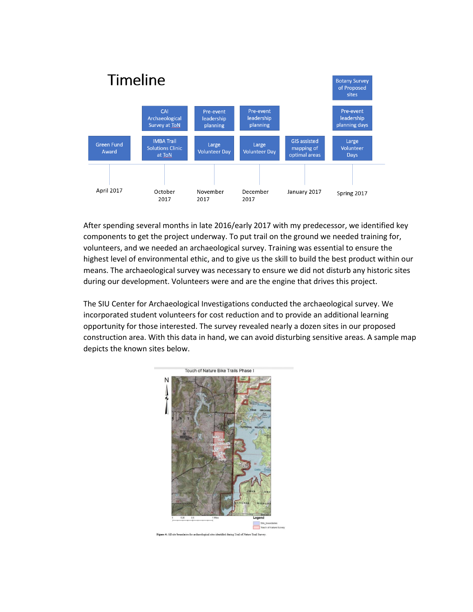

After spending several months in late 2016/early 2017 with my predecessor, we identified key components to get the project underway. To put trail on the ground we needed training for, volunteers, and we needed an archaeological survey. Training was essential to ensure the highest level of environmental ethic, and to give us the skill to build the best product within our means. The archaeological survey was necessary to ensure we did not disturb any historic sites during our development. Volunteers were and are the engine that drives this project.

The SIU Center for Archaeological Investigations conducted the archaeological survey. We incorporated student volunteers for cost reduction and to provide an additional learning opportunity for those interested. The survey revealed nearly a dozen sites in our proposed construction area. With this data in hand, we can avoid disturbing sensitive areas. A sample map depicts the known sites below.

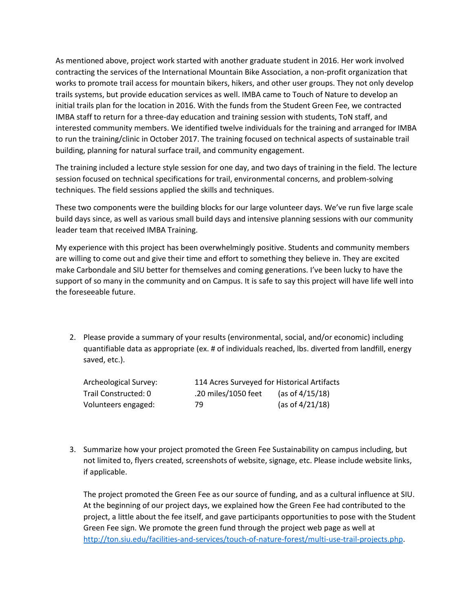As mentioned above, project work started with another graduate student in 2016. Her work involved contracting the services of the International Mountain Bike Association, a non-profit organization that works to promote trail access for mountain bikers, hikers, and other user groups. They not only develop trails systems, but provide education services as well. IMBA came to Touch of Nature to develop an initial trails plan for the location in 2016. With the funds from the Student Green Fee, we contracted IMBA staff to return for a three-day education and training session with students, ToN staff, and interested community members. We identified twelve individuals for the training and arranged for IMBA to run the training/clinic in October 2017. The training focused on technical aspects of sustainable trail building, planning for natural surface trail, and community engagement.

The training included a lecture style session for one day, and two days of training in the field. The lecture session focused on technical specifications for trail, environmental concerns, and problem-solving techniques. The field sessions applied the skills and techniques.

These two components were the building blocks for our large volunteer days. We've run five large scale build days since, as well as various small build days and intensive planning sessions with our community leader team that received IMBA Training.

My experience with this project has been overwhelmingly positive. Students and community members are willing to come out and give their time and effort to something they believe in. They are excited make Carbondale and SIU better for themselves and coming generations. I've been lucky to have the support of so many in the community and on Campus. It is safe to say this project will have life well into the foreseeable future.

2. Please provide a summary of your results (environmental, social, and/or economic) including quantifiable data as appropriate (ex. # of individuals reached, lbs. diverted from landfill, energy saved, etc.).

| Archeological Survey: | 114 Acres Surveyed for Historical Artifacts |                    |
|-----------------------|---------------------------------------------|--------------------|
| Trail Constructed: 0  | .20 miles/1050 feet                         | (as of $4/15/18$ ) |
| Volunteers engaged:   | 79                                          | (as of $4/21/18$ ) |

3. Summarize how your project promoted the Green Fee Sustainability on campus including, but not limited to, flyers created, screenshots of website, signage, etc. Please include website links, if applicable.

The project promoted the Green Fee as our source of funding, and as a cultural influence at SIU. At the beginning of our project days, we explained how the Green Fee had contributed to the project, a little about the fee itself, and gave participants opportunities to pose with the Student Green Fee sign. We promote the green fund through the project web page as well at [http://ton.siu.edu/facilities-and-services/touch-of-nature-forest/multi-use-trail-projects.php.](http://ton.siu.edu/facilities-and-services/touch-of-nature-forest/multi-use-trail-projects.php)